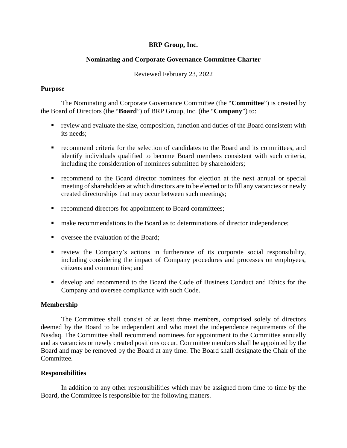## **BRP Group, Inc.**

## **Nominating and Corporate Governance Committee Charter**

### Reviewed February 23, 2022

#### **Purpose**

The Nominating and Corporate Governance Committee (the "**Committee**") is created by the Board of Directors (the "**Board**") of BRP Group, Inc. (the "**Company**") to:

- review and evaluate the size, composition, function and duties of the Board consistent with its needs;
- recommend criteria for the selection of candidates to the Board and its committees, and identify individuals qualified to become Board members consistent with such criteria, including the consideration of nominees submitted by shareholders;
- recommend to the Board director nominees for election at the next annual or special meeting of shareholders at which directors are to be elected or to fill any vacancies or newly created directorships that may occur between such meetings;
- **•** recommend directors for appointment to Board committees;
- **nake recommendations to the Board as to determinations of director independence;**
- versee the evaluation of the Board:
- review the Company's actions in furtherance of its corporate social responsibility, including considering the impact of Company procedures and processes on employees, citizens and communities; and
- develop and recommend to the Board the Code of Business Conduct and Ethics for the Company and oversee compliance with such Code.

#### **Membership**

The Committee shall consist of at least three members, comprised solely of directors deemed by the Board to be independent and who meet the independence requirements of the Nasdaq. The Committee shall recommend nominees for appointment to the Committee annually and as vacancies or newly created positions occur. Committee members shall be appointed by the Board and may be removed by the Board at any time. The Board shall designate the Chair of the Committee.

#### **Responsibilities**

In addition to any other responsibilities which may be assigned from time to time by the Board, the Committee is responsible for the following matters.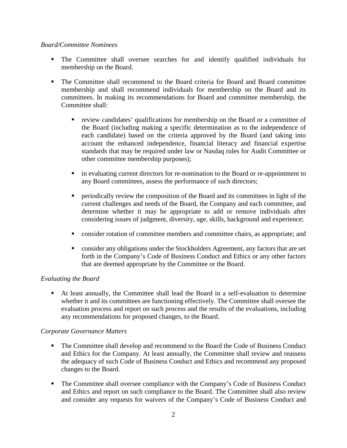### *Board/Committee Nominees*

- The Committee shall oversee searches for and identify qualified individuals for membership on the Board.
- The Committee shall recommend to the Board criteria for Board and Board committee membership and shall recommend individuals for membership on the Board and its committees. In making its recommendations for Board and committee membership, the Committee shall:
	- review candidates' qualifications for membership on the Board or a committee of the Board (including making a specific determination as to the independence of each candidate) based on the criteria approved by the Board (and taking into account the enhanced independence, financial literacy and financial expertise standards that may be required under law or Nasdaq rules for Audit Committee or other committee membership purposes);
	- in evaluating current directors for re-nomination to the Board or re-appointment to any Board committees, assess the performance of such directors;
	- periodically review the composition of the Board and its committees in light of the current challenges and needs of the Board, the Company and each committee, and determine whether it may be appropriate to add or remove individuals after considering issues of judgment, diversity, age, skills, background and experience;
	- consider rotation of committee members and committee chairs, as appropriate; and
	- consider any obligations under the Stockholders Agreement, any factors that are set forth in the Company's Code of Business Conduct and Ethics or any other factors that are deemed appropriate by the Committee or the Board.

# *Evaluating the Board*

 At least annually, the Committee shall lead the Board in a self-evaluation to determine whether it and its committees are functioning effectively. The Committee shall oversee the evaluation process and report on such process and the results of the evaluations, including any recommendations for proposed changes, to the Board.

# *Corporate Governance Matters*

- The Committee shall develop and recommend to the Board the Code of Business Conduct and Ethics for the Company. At least annually, the Committee shall review and reassess the adequacy of such Code of Business Conduct and Ethics and recommend any proposed changes to the Board.
- The Committee shall oversee compliance with the Company's Code of Business Conduct and Ethics and report on such compliance to the Board. The Committee shall also review and consider any requests for waivers of the Company's Code of Business Conduct and